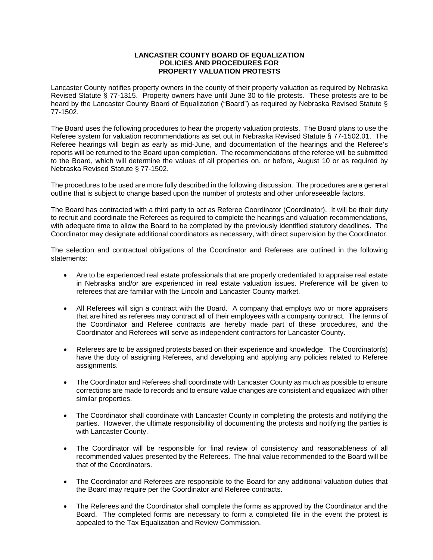## **LANCASTER COUNTY BOARD OF EQUALIZATION POLICIES AND PROCEDURES FOR PROPERTY VALUATION PROTESTS**

Lancaster County notifies property owners in the county of their property valuation as required by Nebraska Revised Statute § 77-1315. Property owners have until June 30 to file protests. These protests are to be heard by the Lancaster County Board of Equalization ("Board") as required by Nebraska Revised Statute § 77-1502.

The Board uses the following procedures to hear the property valuation protests. The Board plans to use the Referee system for valuation recommendations as set out in Nebraska Revised Statute § 77-1502.01. The Referee hearings will begin as early as mid-June, and documentation of the hearings and the Referee's reports will be returned to the Board upon completion. The recommendations of the referee will be submitted to the Board, which will determine the values of all properties on, or before, August 10 or as required by Nebraska Revised Statute § 77-1502.

The procedures to be used are more fully described in the following discussion. The procedures are a general outline that is subject to change based upon the number of protests and other unforeseeable factors.

The Board has contracted with a third party to act as Referee Coordinator (Coordinator). It will be their duty to recruit and coordinate the Referees as required to complete the hearings and valuation recommendations, with adequate time to allow the Board to be completed by the previously identified statutory deadlines. The Coordinator may designate additional coordinators as necessary, with direct supervision by the Coordinator.

The selection and contractual obligations of the Coordinator and Referees are outlined in the following statements:

- Are to be experienced real estate professionals that are properly credentialed to appraise real estate in Nebraska and/or are experienced in real estate valuation issues. Preference will be given to referees that are familiar with the Lincoln and Lancaster County market.
- All Referees will sign a contract with the Board. A company that employs two or more appraisers that are hired as referees may contract all of their employees with a company contract. The terms of the Coordinator and Referee contracts are hereby made part of these procedures, and the Coordinator and Referees will serve as independent contractors for Lancaster County.
- Referees are to be assigned protests based on their experience and knowledge. The Coordinator(s) have the duty of assigning Referees, and developing and applying any policies related to Referee assignments.
- The Coordinator and Referees shall coordinate with Lancaster County as much as possible to ensure corrections are made to records and to ensure value changes are consistent and equalized with other similar properties.
- The Coordinator shall coordinate with Lancaster County in completing the protests and notifying the parties. However, the ultimate responsibility of documenting the protests and notifying the parties is with Lancaster County.
- The Coordinator will be responsible for final review of consistency and reasonableness of all recommended values presented by the Referees. The final value recommended to the Board will be that of the Coordinators.
- The Coordinator and Referees are responsible to the Board for any additional valuation duties that the Board may require per the Coordinator and Referee contracts.
- The Referees and the Coordinator shall complete the forms as approved by the Coordinator and the Board. The completed forms are necessary to form a completed file in the event the protest is appealed to the Tax Equalization and Review Commission.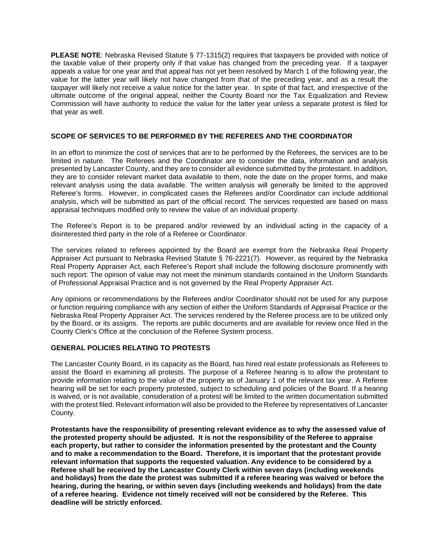**PLEASE NOTE**: Nebraska Revised Statute § 77-1315(2) requires that taxpayers be provided with notice of the taxable value of their property only if that value has changed from the preceding year. If a taxpayer appeals a value for one year and that appeal has not yet been resolved by March 1 of the following year, the value for the latter year will likely not have changed from that of the preceding year, and as a result the taxpayer will likely not receive a value notice for the latter year. In spite of that fact, and irrespective of the ultimate outcome of the original appeal, neither the County Board nor the Tax Equalization and Review Commission will have authority to reduce the value for the latter year unless a separate protest is filed for that year as well.

# **SCOPE OF SERVICES TO BE PERFORMED BY THE REFEREES AND THE COORDINATOR**

In an effort to minimize the cost of services that are to be performed by the Referees, the services are to be limited in nature. The Referees and the Coordinator are to consider the data, information and analysis presented by Lancaster County, and they are to consider all evidence submitted by the protestant. In addition, they are to consider relevant market data available to them, note the date on the proper forms, and make relevant analysis using the data available. The written analysis will generally be limited to the approved Referee's forms. However, in complicated cases the Referees and/or Coordinator can include additional analysis, which will be submitted as part of the official record. The services requested are based on mass appraisal techniques modified only to review the value of an individual property.

The Referee's Report is to be prepared and/or reviewed by an individual acting in the capacity of a disinterested third party in the role of a Referee or Coordinator.

The services related to referees appointed by the Board are exempt from the Nebraska Real Property Appraiser Act pursuant to Nebraska Revised Statute § 76-2221(7). However, as required by the Nebraska Real Property Appraiser Act, each Referee's Report shall include the following disclosure prominently with such report: The opinion of value may not meet the minimum standards contained in the Uniform Standards of Professional Appraisal Practice and is not governed by the Real Property Appraiser Act.

Any opinions or recommendations by the Referees and/or Coordinator should not be used for any purpose or function requiring compliance with any section of either the Uniform Standards of Appraisal Practice or the Nebraska Real Property Appraiser Act. The services rendered by the Referee process are to be utilized only by the Board, or its assigns. The reports are public documents and are available for review once filed in the County Clerk's Office at the conclusion of the Referee System process.

#### **GENERAL POLICIES RELATING TO PROTESTS**

The Lancaster County Board, in its capacity as the Board, has hired real estate professionals as Referees to assist the Board in examining all protests. The purpose of a Referee hearing is to allow the protestant to provide information relating to the value of the property as of January 1 of the relevant tax year. A Referee hearing will be set for each property protested, subject to scheduling and policies of the Board. If a hearing is waived, or is not available, consideration of a protest will be limited to the written documentation submitted with the protest filed. Relevant information will also be provided to the Referee by representatives of Lancaster County.

**Protestants have the responsibility of presenting relevant evidence as to why the assessed value of the protested property should be adjusted. It is not the responsibility of the Referee to appraise each property, but rather to consider the information presented by the protestant and the County and to make a recommendation to the Board. Therefore, it is important that the protestant provide relevant information that supports the requested valuation. Any evidence to be considered by a Referee shall be received by the Lancaster County Clerk within seven days (including weekends and holidays) from the date the protest was submitted if a referee hearing was waived or before the hearing, during the hearing, or within seven days (including weekends and holidays) from the date of a referee hearing. Evidence not timely received will not be considered by the Referee. This deadline will be strictly enforced.**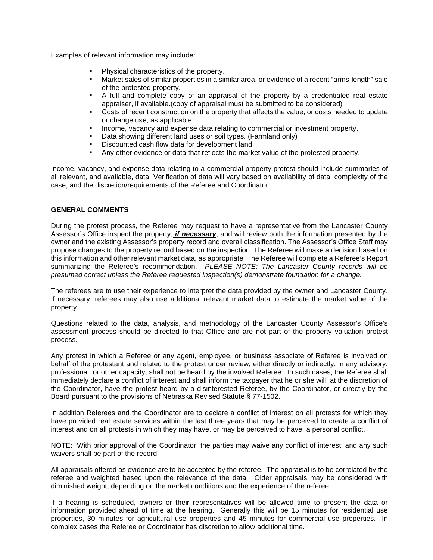Examples of relevant information may include:

- Physical characteristics of the property.<br>• Market sales of similar properties in a sin
- Market sales of similar properties in a similar area, or evidence of a recent "arms-length" sale of the protested property.
- A full and complete copy of an appraisal of the property by a credentialed real estate appraiser, if available.(copy of appraisal must be submitted to be considered)
- Costs of recent construction on the property that affects the value, or costs needed to update or change use, as applicable.
- **Income, vacancy and expense data relating to commercial or investment property.**
- Data showing different land uses or soil types. (Farmland only)
- Discounted cash flow data for development land.
- Any other evidence or data that reflects the market value of the protested property.

Income, vacancy, and expense data relating to a commercial property protest should include summaries of all relevant, and available, data. Verification of data will vary based on availability of data, complexity of the case, and the discretion/requirements of the Referee and Coordinator.

# **GENERAL COMMENTS**

During the protest process, the Referee may request to have a representative from the Lancaster County Assessor's Office inspect the property, *if necessary*, and will review both the information presented by the owner and the existing Assessor's property record and overall classification. The Assessor's Office Staff may propose changes to the property record based on the inspection. The Referee will make a decision based on this information and other relevant market data, as appropriate. The Referee will complete a Referee's Report summarizing the Referee's recommendation. *PLEASE NOTE: The Lancaster County records will be presumed correct unless the Referee requested inspection(s) demonstrate foundation for a change.* 

The referees are to use their experience to interpret the data provided by the owner and Lancaster County. If necessary, referees may also use additional relevant market data to estimate the market value of the property.

Questions related to the data, analysis, and methodology of the Lancaster County Assessor's Office's assessment process should be directed to that Office and are not part of the property valuation protest process.

Any protest in which a Referee or any agent, employee, or business associate of Referee is involved on behalf of the protestant and related to the protest under review, either directly or indirectly, in any advisory, professional, or other capacity, shall not be heard by the involved Referee. In such cases, the Referee shall immediately declare a conflict of interest and shall inform the taxpayer that he or she will, at the discretion of the Coordinator, have the protest heard by a disinterested Referee, by the Coordinator, or directly by the Board pursuant to the provisions of Nebraska Revised Statute § 77-1502.

In addition Referees and the Coordinator are to declare a conflict of interest on all protests for which they have provided real estate services within the last three years that may be perceived to create a conflict of interest and on all protests in which they may have, or may be perceived to have, a personal conflict.

NOTE: With prior approval of the Coordinator, the parties may waive any conflict of interest, and any such waivers shall be part of the record.

All appraisals offered as evidence are to be accepted by the referee. The appraisal is to be correlated by the referee and weighted based upon the relevance of the data. Older appraisals may be considered with diminished weight, depending on the market conditions and the experience of the referee.

If a hearing is scheduled, owners or their representatives will be allowed time to present the data or information provided ahead of time at the hearing. Generally this will be 15 minutes for residential use properties, 30 minutes for agricultural use properties and 45 minutes for commercial use properties. In complex cases the Referee or Coordinator has discretion to allow additional time.